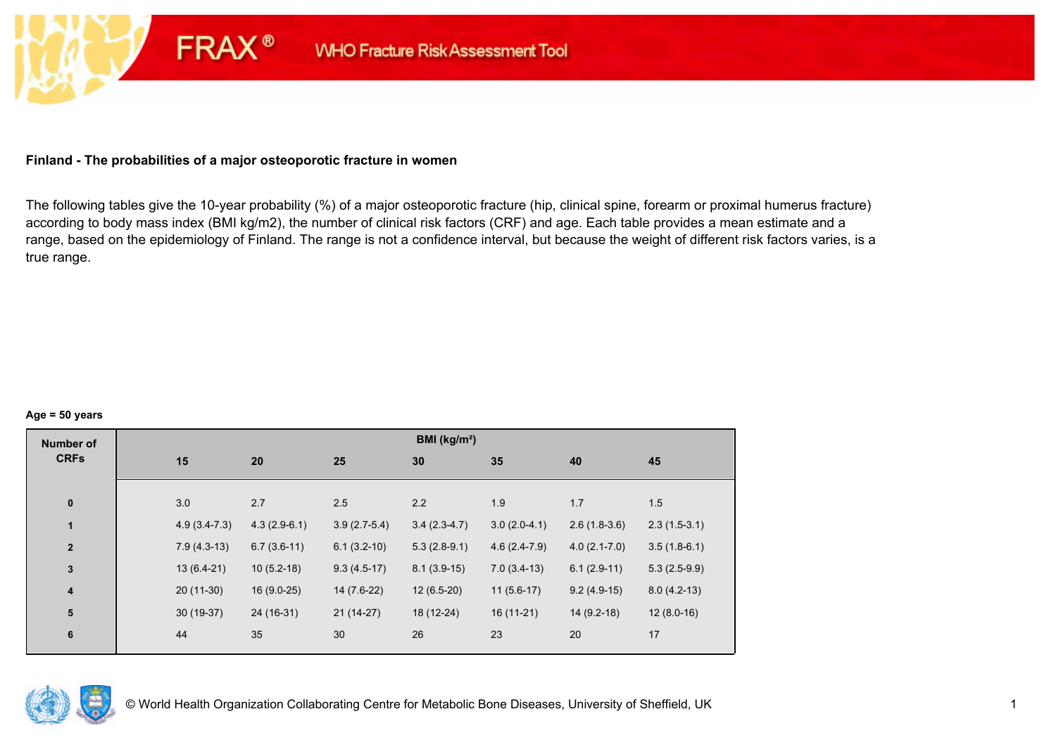## **Finland - The probabilities of a major osteoporotic fracture in women**

**FRAX®** 

The following tables give the 10-year probability (%) of a major osteoporotic fracture (hip, clinical spine, forearm or proximal humerus fracture) according to body mass index (BMI kg/m2), the number of clinical risk factors (CRF) and age. Each table provides a mean estimate and a range, based on the epidemiology of Finland. The range is not a confidence interval, but because the weight of different risk factors varies, is a true range.

#### **Age = 50 years**

| <b>Number of</b> |                |                |                | BMI (kg/m <sup>2</sup> ) |                |                |                |
|------------------|----------------|----------------|----------------|--------------------------|----------------|----------------|----------------|
| <b>CRFs</b>      | 15             | 20             | 25             | 30                       | 35             | 40             | 45             |
|                  |                |                |                |                          |                |                |                |
| $\pmb{0}$        | 3.0            | 2.7            | 2.5            | 2.2                      | 1.9            | 1.7            | 1.5            |
| $\mathbf{1}$     | $4.9(3.4-7.3)$ | $4.3(2.9-6.1)$ | $3.9(2.7-5.4)$ | $3.4(2.3-4.7)$           | $3.0(2.0-4.1)$ | $2.6(1.8-3.6)$ | $2.3(1.5-3.1)$ |
| $\mathbf{2}$     | $7.9(4.3-13)$  | $6.7(3.6-11)$  | $6.1(3.2-10)$  | $5.3(2.8-9.1)$           | $4.6(2.4-7.9)$ | $4.0(2.1-7.0)$ | $3.5(1.8-6.1)$ |
| $\mathbf{3}$     | $13(6.4-21)$   | $10(5.2-18)$   | $9.3(4.5-17)$  | $8.1(3.9-15)$            | $7.0(3.4-13)$  | $6.1(2.9-11)$  | $5.3(2.5-9.9)$ |
| $\boldsymbol{4}$ | $20(11-30)$    | $16(9.0-25)$   | 14 (7.6-22)    | $12(6.5-20)$             | $11(5.6-17)$   | $9.2(4.9-15)$  | $8.0(4.2-13)$  |
| 5                | $30(19-37)$    | 24 (16-31)     | $21(14-27)$    | 18 (12-24)               | $16(11-21)$    | $14(9.2-18)$   | $12(8.0-16)$   |
| $\bf 6$          | 44             | 35             | 30             | 26                       | 23             | 20             | 17             |

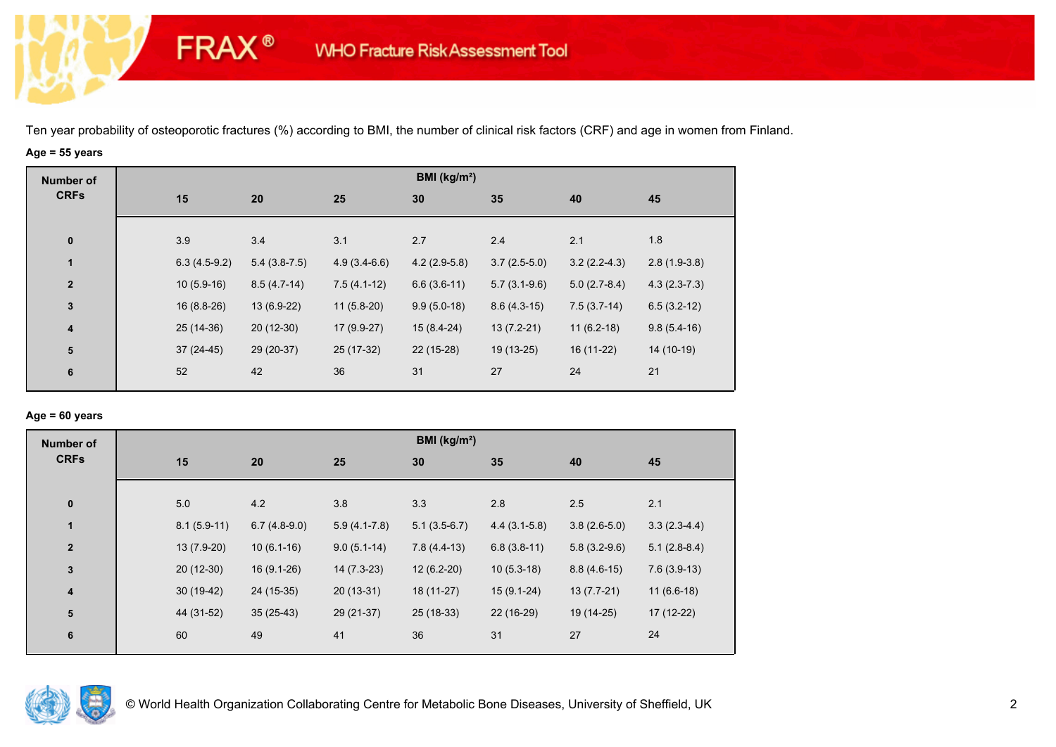# **Age = 55 years**

**FRAX®** 

| <b>Number of</b>        |                |                |                | BMI (kg/m <sup>2</sup> ) |                |                |                |
|-------------------------|----------------|----------------|----------------|--------------------------|----------------|----------------|----------------|
| <b>CRFs</b>             | 15             | 20             | 25             | 30                       | 35             | 40             | 45             |
|                         |                |                |                |                          |                |                |                |
| $\pmb{0}$               | 3.9            | 3.4            | 3.1            | 2.7                      | 2.4            | 2.1            | 1.8            |
| $\mathbf{1}$            | $6.3(4.5-9.2)$ | $5.4(3.8-7.5)$ | $4.9(3.4-6.6)$ | $4.2(2.9-5.8)$           | $3.7(2.5-5.0)$ | $3.2(2.2-4.3)$ | $2.8(1.9-3.8)$ |
| $\mathbf{2}$            | $10(5.9-16)$   | $8.5(4.7-14)$  | $7.5(4.1-12)$  | $6.6(3.6-11)$            | $5.7(3.1-9.6)$ | $5.0(2.7-8.4)$ | $4.3(2.3-7.3)$ |
| $\mathbf{3}$            | $16(8.8-26)$   | 13 (6.9-22)    | $11(5.8-20)$   | $9.9(5.0-18)$            | $8.6(4.3-15)$  | $7.5(3.7-14)$  | $6.5(3.2-12)$  |
| $\overline{\mathbf{4}}$ | $25(14-36)$    | $20(12-30)$    | 17 (9.9-27)    | $15(8.4-24)$             | $13(7.2-21)$   | $11(6.2-18)$   | $9.8(5.4-16)$  |
| 5                       | $37(24-45)$    | 29 (20-37)     | 25 (17-32)     | 22 (15-28)               | 19 (13-25)     | 16 (11-22)     | 14 (10-19)     |
| 6                       | 52             | 42             | 36             | 31                       | 27             | 24             | 21             |
|                         |                |                |                |                          |                |                |                |

## **Age = 60 years**

| <b>Number of</b>        |     |                                 |                | BMI (kg/m <sup>2</sup> ) |                |                |                |
|-------------------------|-----|---------------------------------|----------------|--------------------------|----------------|----------------|----------------|
| <b>CRFs</b>             | 15  | 20                              | 25             | 30                       | 35             | 40             | 45             |
| $\pmb{0}$               | 5.0 | 4.2                             | 3.8            | 3.3                      | 2.8            | 2.5            | 2.1            |
| 1                       |     | $8.1(5.9-11)$<br>$6.7(4.8-9.0)$ | $5.9(4.1-7.8)$ | $5.1(3.5-6.7)$           | $4.4(3.1-5.8)$ | $3.8(2.6-5.0)$ | $3.3(2.3-4.4)$ |
| $\mathbf{2}$            |     | 13 (7.9-20)<br>$10(6.1-16)$     | $9.0(5.1-14)$  | $7.8(4.4-13)$            | $6.8(3.8-11)$  | $5.8(3.2-9.6)$ | $5.1(2.8-8.4)$ |
| $\mathbf 3$             |     | $20(12-30)$<br>$16(9.1-26)$     | $14(7.3-23)$   | 12 (6.2-20)              | $10(5.3-18)$   | $8.8(4.6-15)$  | $7.6(3.9-13)$  |
| $\overline{\mathbf{4}}$ |     | $30(19-42)$<br>24 (15-35)       | $20(13-31)$    | $18(11-27)$              | $15(9.1-24)$   | $13(7.7-21)$   | $11(6.6-18)$   |
| ${\bf 5}$               |     | $35(25-43)$<br>44 (31-52)       | 29 (21-37)     | $25(18-33)$              | 22 (16-29)     | 19 (14-25)     | $17(12-22)$    |
| 6                       | 60  | 49                              | 41             | 36                       | 31             | 27             | 24             |

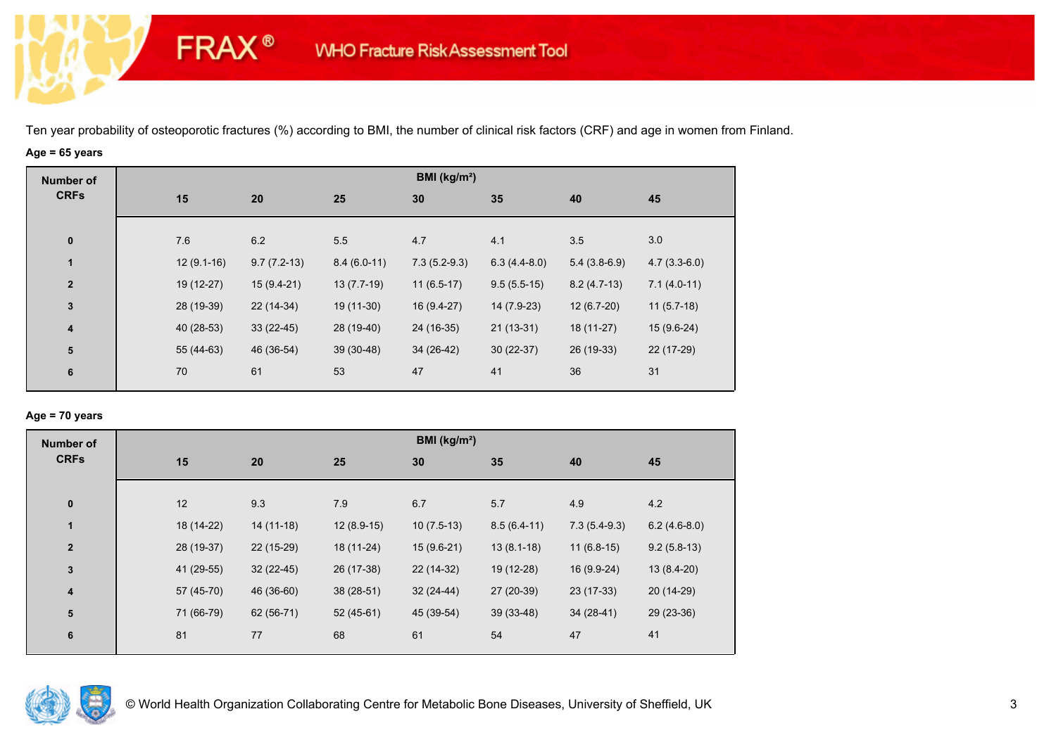# **Age = 65 years**

**FRAX®** 

| <b>Number of</b> |              |               |               | BMI ( $kg/m2$ ) |                |                |                |
|------------------|--------------|---------------|---------------|-----------------|----------------|----------------|----------------|
| <b>CRFs</b>      | 15           | 20            | 25            | 30              | 35             | 40             | 45             |
| $\bf{0}$         | 7.6          | 6.2           | 5.5           | 4.7             | 4.1            | 3.5            | 3.0            |
| $\mathbf{1}$     | $12(9.1-16)$ | $9.7(7.2-13)$ | $8.4(6.0-11)$ | $7.3(5.2-9.3)$  | $6.3(4.4-8.0)$ | $5.4(3.8-6.9)$ | $4.7(3.3-6.0)$ |
| $\overline{2}$   | 19 (12-27)   | $15(9.4-21)$  | $13(7.7-19)$  | $11(6.5-17)$    | $9.5(5.5-15)$  | $8.2(4.7-13)$  | $7.1(4.0-11)$  |
| $\mathbf{3}$     | 28 (19-39)   | 22 (14-34)    | 19 (11-30)    | 16 (9.4-27)     | 14 (7.9-23)    | $12(6.7-20)$   | $11(5.7-18)$   |
| 4                | 40 (28-53)   | $33(22-45)$   | 28 (19-40)    | 24 (16-35)      | $21(13-31)$    | 18 (11-27)     | 15 (9.6-24)    |
| ${\bf 5}$        | 55 (44-63)   | 46 (36-54)    | $39(30-48)$   | 34 (26-42)      | $30(22-37)$    | 26 (19-33)     | 22 (17-29)     |
| 6                | 70           | 61            | 53            | 47              | 41             | 36             | 31             |
|                  |              |               |               |                 |                |                |                |

## **Age = 70 years**

| <b>Number of</b>        |            |             |              | BMI (kg/m <sup>2</sup> ) |               |                |                |
|-------------------------|------------|-------------|--------------|--------------------------|---------------|----------------|----------------|
| <b>CRFs</b>             | 15         | 20          | 25           | 30                       | 35            | 40             | 45             |
| $\pmb{0}$               | 12         | 9.3         | 7.9          | 6.7                      | 5.7           | 4.9            | 4.2            |
| $\mathbf{1}$            | 18 (14-22) | $14(11-18)$ | $12(8.9-15)$ | $10(7.5-13)$             | $8.5(6.4-11)$ | $7.3(5.4-9.3)$ | $6.2(4.6-8.0)$ |
| $\overline{\mathbf{2}}$ | 28 (19-37) | 22 (15-29)  | 18 (11-24)   | $15(9.6-21)$             | $13(8.1-18)$  | $11(6.8-15)$   | $9.2(5.8-13)$  |
| $\mathbf 3$             | 41 (29-55) | $32(22-45)$ | 26 (17-38)   | 22 (14-32)               | 19 (12-28)    | 16 (9.9-24)    | $13(8.4-20)$   |
| $\overline{\mathbf{4}}$ | 57 (45-70) | 46 (36-60)  | $38(28-51)$  | $32(24-44)$              | 27 (20-39)    | 23 (17-33)     | 20 (14-29)     |
| ${\bf 5}$               | 71 (66-79) | 62 (56-71)  | $52(45-61)$  | 45 (39-54)               | $39(33-48)$   | $34(28-41)$    | 29 (23-36)     |
| 6                       | 81         | 77          | 68           | 61                       | 54            | 47             | 41             |

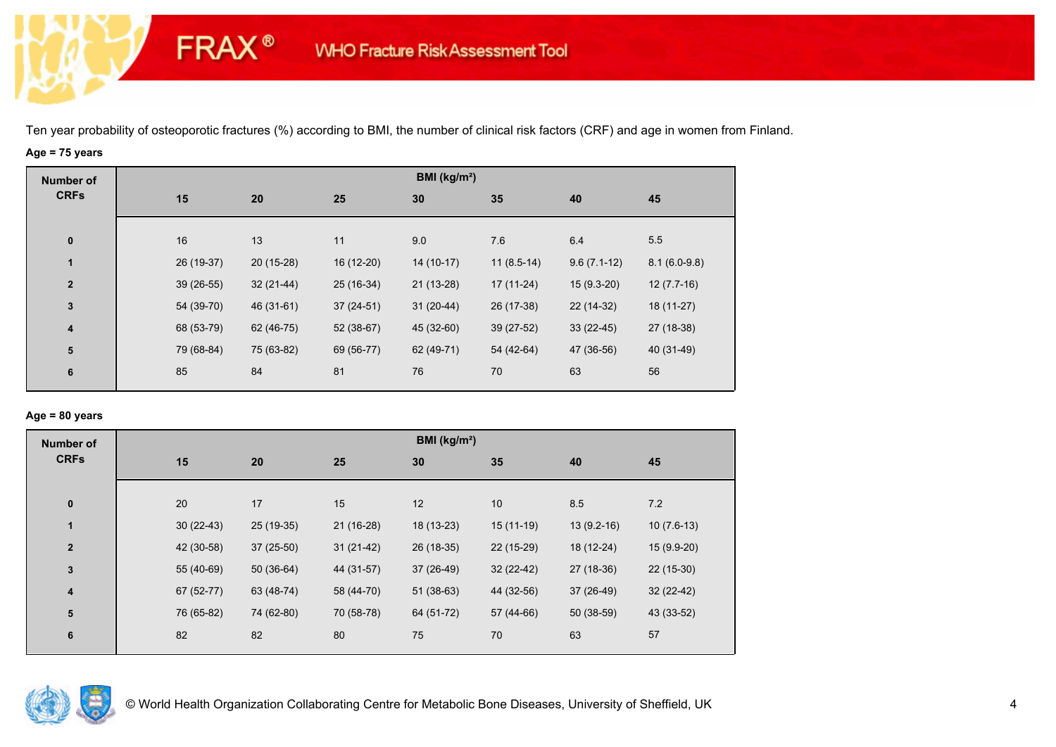# **Age = 75 years**

**FRAX®** 

| <b>Number of</b>        |             |             |             | BMI (kg/m <sup>2</sup> ) |              |               |                |
|-------------------------|-------------|-------------|-------------|--------------------------|--------------|---------------|----------------|
| <b>CRFs</b>             | 15          | 20          | 25          | 30                       | 35           | 40            | 45             |
|                         |             |             |             |                          |              |               |                |
| $\bf{0}$                | 16          | 13          | 11          | 9.0                      | 7.6          | 6.4           | 5.5            |
| $\mathbf{1}$            | 26 (19-37)  | $20(15-28)$ | 16 (12-20)  | $14(10-17)$              | $11(8.5-14)$ | $9.6(7.1-12)$ | $8.1(6.0-9.8)$ |
| $\overline{\mathbf{2}}$ | $39(26-55)$ | $32(21-44)$ | 25 (16-34)  | $21(13-28)$              | $17(11-24)$  | $15(9.3-20)$  | $12(7.7-16)$   |
| $\mathbf{3}$            | 54 (39-70)  | 46 (31-61)  | $37(24-51)$ | $31(20-44)$              | 26 (17-38)   | 22 (14-32)    | 18 (11-27)     |
| $\overline{\mathbf{4}}$ | 68 (53-79)  | 62 (46-75)  | 52 (38-67)  | 45 (32-60)               | 39 (27-52)   | $33(22-45)$   | 27 (18-38)     |
| ${\bf 5}$               | 79 (68-84)  | 75 (63-82)  | 69 (56-77)  | 62 (49-71)               | 54 (42-64)   | 47 (36-56)    | 40 (31-49)     |
| 6                       | 85          | 84          | 81          | 76                       | 70           | 63            | 56             |
|                         |             |             |             |                          |              |               |                |

## **Age = 80 years**

| <b>Number of</b> |             |             |             | BMI ( $kg/m2$ ) |             |              |              |
|------------------|-------------|-------------|-------------|-----------------|-------------|--------------|--------------|
| <b>CRFs</b>      | 15          | 20          | 25          | 30              | 35          | 40           | 45           |
|                  |             |             |             |                 |             |              |              |
| $\pmb{0}$        | 20          | 17          | 15          | 12              | 10          | 8.5          | 7.2          |
| $\blacksquare$   | $30(22-43)$ | 25 (19-35)  | 21 (16-28)  | 18 (13-23)      | $15(11-19)$ | $13(9.2-16)$ | $10(7.6-13)$ |
| $\mathbf{2}$     | 42 (30-58)  | $37(25-50)$ | $31(21-42)$ | 26 (18-35)      | 22 (15-29)  | 18 (12-24)   | $15(9.9-20)$ |
| $\mathbf 3$      | 55 (40-69)  | $50(36-64)$ | 44 (31-57)  | 37 (26-49)      | $32(22-42)$ | 27 (18-36)   | $22(15-30)$  |
| 4                | 67 (52-77)  | 63 (48-74)  | 58 (44-70)  | $51(38-63)$     | 44 (32-56)  | 37 (26-49)   | 32 (22-42)   |
| 5                | 76 (65-82)  | 74 (62-80)  | 70 (58-78)  | 64 (51-72)      | 57 (44-66)  | $50(38-59)$  | 43 (33-52)   |
| 6                | 82          | 82          | 80          | 75              | 70          | 63           | 57           |
|                  |             |             |             |                 |             |              |              |